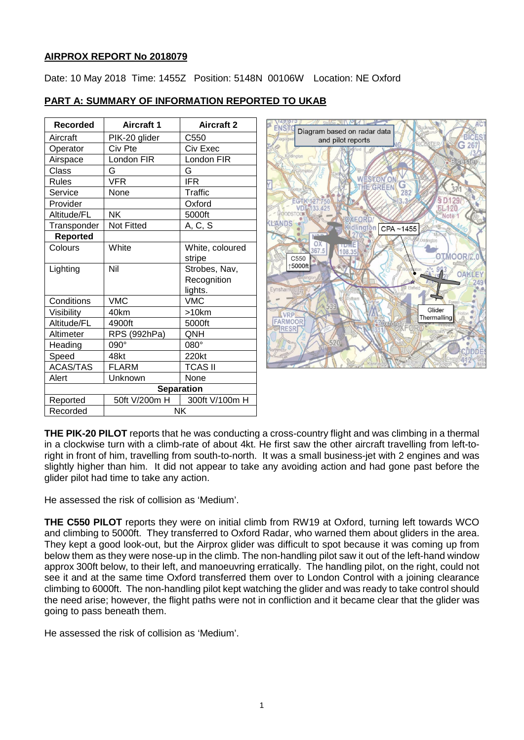### **AIRPROX REPORT No 2018079**

Date: 10 May 2018 Time: 1455Z Position: 5148N 00106W Location: NE Oxford

| Recorded        | <b>Aircraft 1</b> | <b>Aircraft 2</b> |
|-----------------|-------------------|-------------------|
| Aircraft        | PIK-20 glider     | C550              |
| Operator        | Civ Pte           | Civ Exec          |
| Airspace        | London FIR        | London FIR        |
| Class           | G                 | G                 |
| <b>Rules</b>    | VFR               | <b>IFR</b>        |
| Service         | None              | Traffic           |
| Provider        |                   | Oxford            |
| Altitude/FL     | <b>NK</b>         | 5000ft            |
| Transponder     | <b>Not Fitted</b> | A, C, S           |
| <b>Reported</b> |                   |                   |
| Colours         | White             | White, coloured   |
|                 |                   | stripe            |
| Lighting        | Nil               | Strobes, Nav,     |
|                 |                   | Recognition       |
|                 |                   | lights.           |
| Conditions      | <b>VMC</b>        | <b>VMC</b>        |
| Visibility      | 40km              | >10km             |
| Altitude/FL     | 4900ft            | 5000ft            |
| Altimeter       | RPS (992hPa)      | QNH               |
| Heading         | 090°              | 080°              |
| Speed           | 48kt              | 220kt             |
| <b>ACAS/TAS</b> | <b>FLARM</b>      | TCAS II           |
| Alert           | Unknown           | None              |
|                 | <b>Separation</b> |                   |
| Reported        | 50ft V/200m H     | 300ft V/100m H    |
| Recorded        | <b>NK</b>         |                   |

# **PART A: SUMMARY OF INFORMATION REPORTED TO UKAB**



**THE PIK-20 PILOT** reports that he was conducting a cross-country flight and was climbing in a thermal in a clockwise turn with a climb-rate of about 4kt. He first saw the other aircraft travelling from left-toright in front of him, travelling from south-to-north. It was a small business-jet with 2 engines and was slightly higher than him. It did not appear to take any avoiding action and had gone past before the glider pilot had time to take any action.

He assessed the risk of collision as 'Medium'.

**THE C550 PILOT** reports they were on initial climb from RW19 at Oxford, turning left towards WCO and climbing to 5000ft. They transferred to Oxford Radar, who warned them about gliders in the area. They kept a good look-out, but the Airprox glider was difficult to spot because it was coming up from below them as they were nose-up in the climb. The non-handling pilot saw it out of the left-hand window approx 300ft below, to their left, and manoeuvring erratically. The handling pilot, on the right, could not see it and at the same time Oxford transferred them over to London Control with a joining clearance climbing to 6000ft. The non-handling pilot kept watching the glider and was ready to take control should the need arise; however, the flight paths were not in confliction and it became clear that the glider was going to pass beneath them.

He assessed the risk of collision as 'Medium'.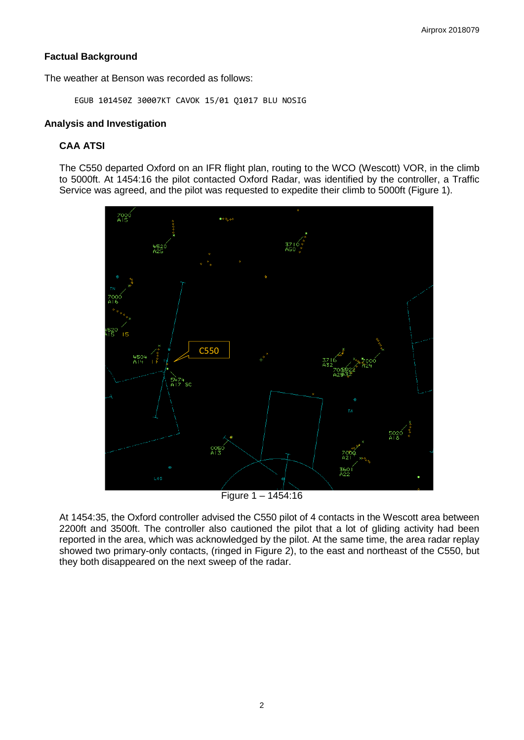# **Factual Background**

The weather at Benson was recorded as follows:

EGUB 101450Z 30007KT CAVOK 15/01 Q1017 BLU NOSIG

# **Analysis and Investigation**

# **CAA ATSI**

The C550 departed Oxford on an IFR flight plan, routing to the WCO (Wescott) VOR, in the climb to 5000ft. At 1454:16 the pilot contacted Oxford Radar, was identified by the controller, a Traffic Service was agreed, and the pilot was requested to expedite their climb to 5000ft (Figure 1).



Figure  $1 - 1454:16$ 

At 1454:35, the Oxford controller advised the C550 pilot of 4 contacts in the Wescott area between 2200ft and 3500ft. The controller also cautioned the pilot that a lot of gliding activity had been reported in the area, which was acknowledged by the pilot. At the same time, the area radar replay showed two primary-only contacts, (ringed in Figure 2), to the east and northeast of the C550, but they both disappeared on the next sweep of the radar.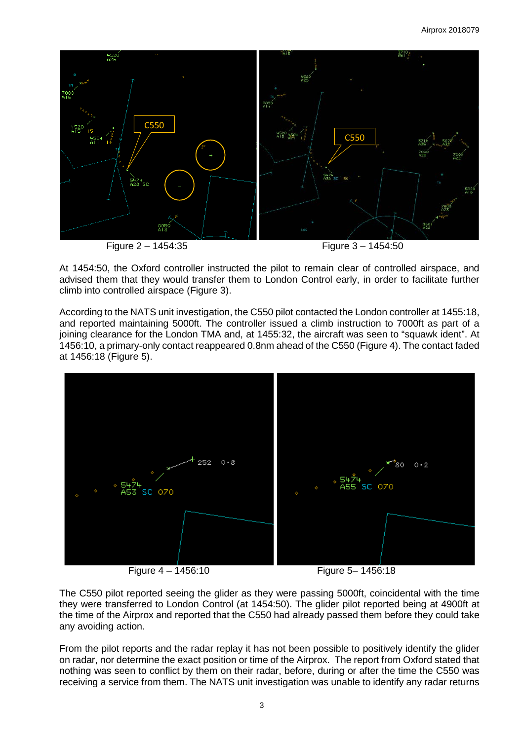

At 1454:50, the Oxford controller instructed the pilot to remain clear of controlled airspace, and advised them that they would transfer them to London Control early, in order to facilitate further climb into controlled airspace (Figure 3).

According to the NATS unit investigation, the C550 pilot contacted the London controller at 1455:18, and reported maintaining 5000ft. The controller issued a climb instruction to 7000ft as part of a joining clearance for the London TMA and, at 1455:32, the aircraft was seen to "squawk ident". At 1456:10, a primary-only contact reappeared 0.8nm ahead of the C550 (Figure 4). The contact faded at 1456:18 (Figure 5).



The C550 pilot reported seeing the glider as they were passing 5000ft, coincidental with the time they were transferred to London Control (at 1454:50). The glider pilot reported being at 4900ft at the time of the Airprox and reported that the C550 had already passed them before they could take any avoiding action.

From the pilot reports and the radar replay it has not been possible to positively identify the glider on radar, nor determine the exact position or time of the Airprox. The report from Oxford stated that nothing was seen to conflict by them on their radar, before, during or after the time the C550 was receiving a service from them. The NATS unit investigation was unable to identify any radar returns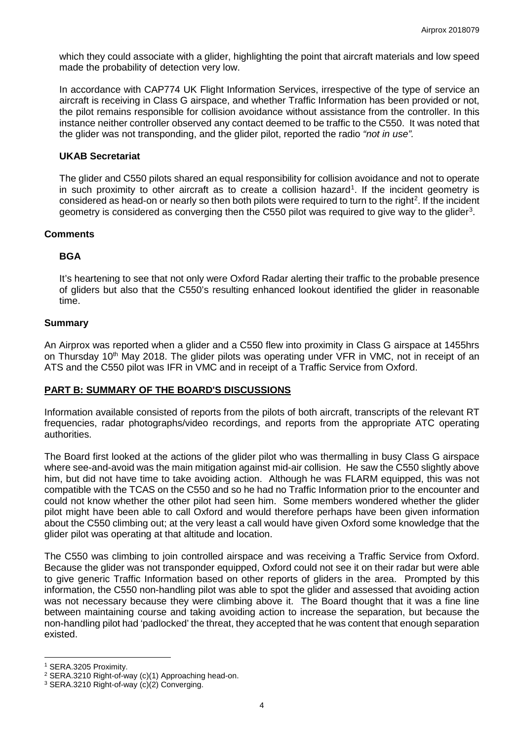which they could associate with a glider, highlighting the point that aircraft materials and low speed made the probability of detection very low.

In accordance with CAP774 UK Flight Information Services, irrespective of the type of service an aircraft is receiving in Class G airspace, and whether Traffic Information has been provided or not, the pilot remains responsible for collision avoidance without assistance from the controller. In this instance neither controller observed any contact deemed to be traffic to the C550. It was noted that the glider was not transponding, and the glider pilot, reported the radio *"not in use".*

### **UKAB Secretariat**

The glider and C550 pilots shared an equal responsibility for collision avoidance and not to operate in such proximity to other aircraft as to create a collision hazard<sup>[1](#page-3-0)</sup>. If the incident geometry is considered as head-on or nearly so then both pilots were required to turn to the right<sup>[2](#page-3-1)</sup>. If the incident geometry is considered as converging then the C550 pilot was required to give way to the glider<sup>[3](#page-3-2)</sup>.

#### **Comments**

### **BGA**

It's heartening to see that not only were Oxford Radar alerting their traffic to the probable presence of gliders but also that the C550's resulting enhanced lookout identified the glider in reasonable time.

### **Summary**

An Airprox was reported when a glider and a C550 flew into proximity in Class G airspace at 1455hrs on Thursday 10<sup>th</sup> May 2018. The glider pilots was operating under VFR in VMC, not in receipt of an ATS and the C550 pilot was IFR in VMC and in receipt of a Traffic Service from Oxford.

# **PART B: SUMMARY OF THE BOARD'S DISCUSSIONS**

Information available consisted of reports from the pilots of both aircraft, transcripts of the relevant RT frequencies, radar photographs/video recordings, and reports from the appropriate ATC operating authorities.

The Board first looked at the actions of the glider pilot who was thermalling in busy Class G airspace where see-and-avoid was the main mitigation against mid-air collision. He saw the C550 slightly above him, but did not have time to take avoiding action. Although he was FLARM equipped, this was not compatible with the TCAS on the C550 and so he had no Traffic Information prior to the encounter and could not know whether the other pilot had seen him. Some members wondered whether the glider pilot might have been able to call Oxford and would therefore perhaps have been given information about the C550 climbing out; at the very least a call would have given Oxford some knowledge that the glider pilot was operating at that altitude and location.

The C550 was climbing to join controlled airspace and was receiving a Traffic Service from Oxford. Because the glider was not transponder equipped, Oxford could not see it on their radar but were able to give generic Traffic Information based on other reports of gliders in the area. Prompted by this information, the C550 non-handling pilot was able to spot the glider and assessed that avoiding action was not necessary because they were climbing above it. The Board thought that it was a fine line between maintaining course and taking avoiding action to increase the separation, but because the non-handling pilot had 'padlocked' the threat, they accepted that he was content that enough separation existed.

 $\overline{\phantom{a}}$ 

<span id="page-3-0"></span><sup>1</sup> SERA.3205 Proximity.

<span id="page-3-1"></span><sup>2</sup> SERA.3210 Right-of-way (c)(1) Approaching head-on.

<span id="page-3-2"></span><sup>3</sup> SERA.3210 Right-of-way (c)(2) Converging.